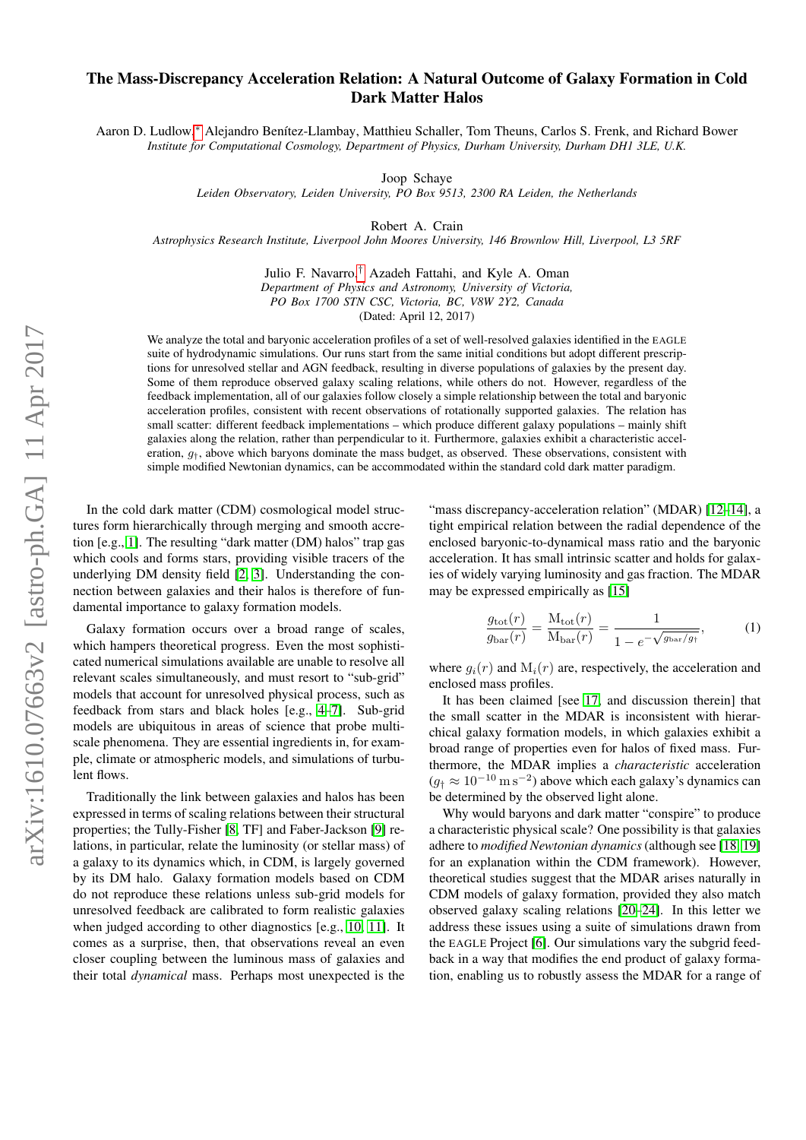## The Mass-Discrepancy Acceleration Relation: A Natural Outcome of Galaxy Formation in Cold Dark Matter Halos

Aaron D. Ludlow,\* Alejandro Benítez-Llambay, Matthieu Schaller, Tom Theuns, Carlos S. Frenk, and Richard Bower *Institute for Computational Cosmology, Department of Physics, Durham University, Durham DH1 3LE, U.K.*

Joop Schaye

*Leiden Observatory, Leiden University, PO Box 9513, 2300 RA Leiden, the Netherlands*

Robert A. Crain

*Astrophysics Research Institute, Liverpool John Moores University, 146 Brownlow Hill, Liverpool, L3 5RF*

Julio F. Navarro,[†](#page-4-1) Azadeh Fattahi, and Kyle A. Oman *Department of Physics and Astronomy, University of Victoria, PO Box 1700 STN CSC, Victoria, BC, V8W 2Y2, Canada*

(Dated: April 12, 2017)

We analyze the total and baryonic acceleration profiles of a set of well-resolved galaxies identified in the EAGLE suite of hydrodynamic simulations. Our runs start from the same initial conditions but adopt different prescriptions for unresolved stellar and AGN feedback, resulting in diverse populations of galaxies by the present day. Some of them reproduce observed galaxy scaling relations, while others do not. However, regardless of the feedback implementation, all of our galaxies follow closely a simple relationship between the total and baryonic acceleration profiles, consistent with recent observations of rotationally supported galaxies. The relation has small scatter: different feedback implementations – which produce different galaxy populations – mainly shift galaxies along the relation, rather than perpendicular to it. Furthermore, galaxies exhibit a characteristic acceleration,  $g_t$ , above which baryons dominate the mass budget, as observed. These observations, consistent with simple modified Newtonian dynamics, can be accommodated within the standard cold dark matter paradigm.

In the cold dark matter (CDM) cosmological model structures form hierarchically through merging and smooth accretion [e.g., [1\]](#page-4-2). The resulting "dark matter (DM) halos" trap gas which cools and forms stars, providing visible tracers of the underlying DM density field [\[2,](#page-4-3) [3\]](#page-4-4). Understanding the connection between galaxies and their halos is therefore of fundamental importance to galaxy formation models.

Galaxy formation occurs over a broad range of scales, which hampers theoretical progress. Even the most sophisticated numerical simulations available are unable to resolve all relevant scales simultaneously, and must resort to "sub-grid" models that account for unresolved physical process, such as feedback from stars and black holes [e.g., [4–](#page-4-5)[7\]](#page-4-6). Sub-grid models are ubiquitous in areas of science that probe multiscale phenomena. They are essential ingredients in, for example, climate or atmospheric models, and simulations of turbulent flows.

Traditionally the link between galaxies and halos has been expressed in terms of scaling relations between their structural properties; the Tully-Fisher [\[8,](#page-4-7) TF] and Faber-Jackson [\[9\]](#page-4-8) relations, in particular, relate the luminosity (or stellar mass) of a galaxy to its dynamics which, in CDM, is largely governed by its DM halo. Galaxy formation models based on CDM do not reproduce these relations unless sub-grid models for unresolved feedback are calibrated to form realistic galaxies when judged according to other diagnostics [e.g., [10,](#page-4-9) [11\]](#page-4-10). It comes as a surprise, then, that observations reveal an even closer coupling between the luminous mass of galaxies and their total *dynamical* mass. Perhaps most unexpected is the

"mass discrepancy-acceleration relation" (MDAR) [\[12](#page-4-11)-14], a tight empirical relation between the radial dependence of the enclosed baryonic-to-dynamical mass ratio and the baryonic acceleration. It has small intrinsic scatter and holds for galaxies of widely varying luminosity and gas fraction. The MDAR may be expressed empirically as [\[15\]](#page-4-13)

<span id="page-0-0"></span>
$$
\frac{g_{\text{tot}}(r)}{g_{\text{bar}}(r)} = \frac{M_{\text{tot}}(r)}{M_{\text{bar}}(r)} = \frac{1}{1 - e^{-\sqrt{g_{\text{bar}}/g_{\hat{r}}}}},\tag{1}
$$

where  $g_i(r)$  and  $M_i(r)$  are, respectively, the acceleration and enclosed mass profiles.

It has been claimed [see [17,](#page-4-14) and discussion therein] that the small scatter in the MDAR is inconsistent with hierarchical galaxy formation models, in which galaxies exhibit a broad range of properties even for halos of fixed mass. Furthermore, the MDAR implies a *characteristic* acceleration  $(g<sub>†</sub> \approx 10^{-10} \text{ m s}^{-2})$  above which each galaxy's dynamics can be determined by the observed light alone.

Why would baryons and dark matter "conspire" to produce a characteristic physical scale? One possibility is that galaxies adhere to *modified Newtonian dynamics* (although see [\[18,](#page-4-15) [19\]](#page-4-16) for an explanation within the CDM framework). However, theoretical studies suggest that the MDAR arises naturally in CDM models of galaxy formation, provided they also match observed galaxy scaling relations [\[20](#page-4-17)[–24\]](#page-5-0). In this letter we address these issues using a suite of simulations drawn from the EAGLE Project [\[6\]](#page-4-18). Our simulations vary the subgrid feedback in a way that modifies the end product of galaxy formation, enabling us to robustly assess the MDAR for a range of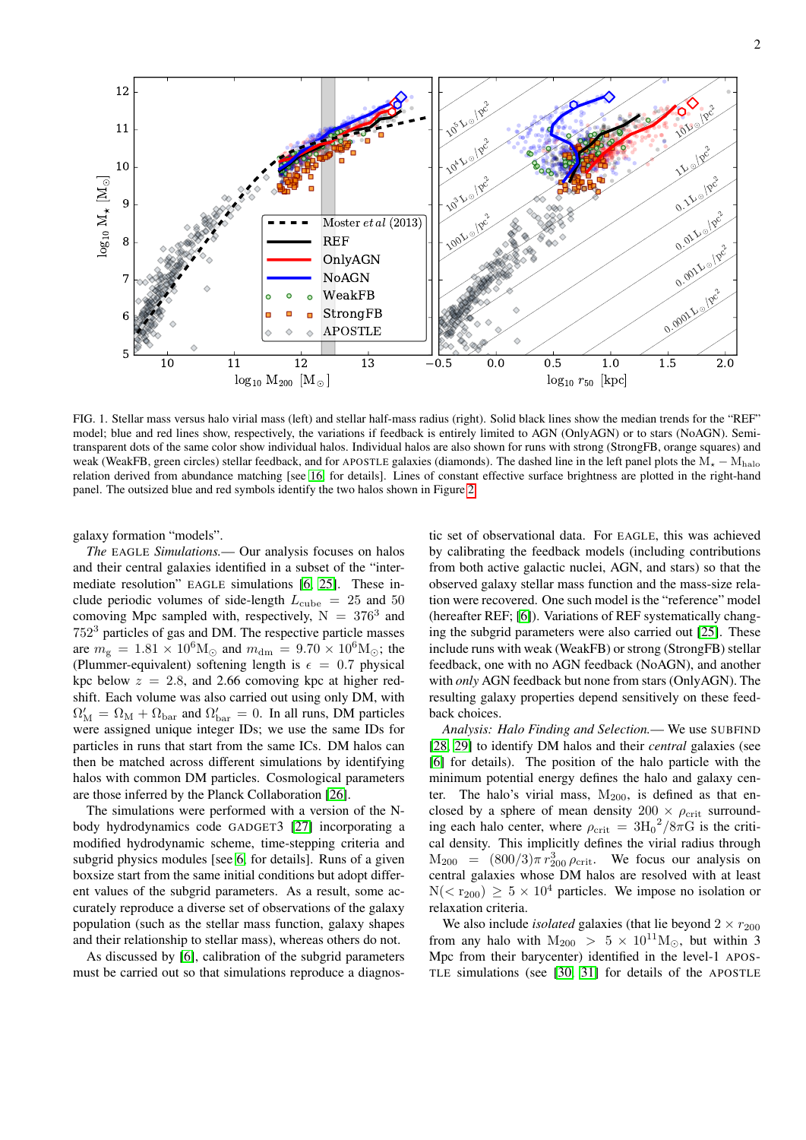10 11 12 13  $\rm log_{10}~M_{200}~[M_{\odot}]$ 5 6 7 8 9 10 11 12  $\log_{10}$   $M_{\star}$  [M ි Moster et al (2013) REF OnlyAGN NoAGN WeakFB StrongFB APOSTLE 0.5 0.0 0.5 1.0 1.5 2.0  $log_{10}$   $r_{50}$  [kpc] 0.0001L = pc 20.001L olpc 02 $012^{100}$ 20.1L olpe ำ 110 pc ী  $10^{10^{10^{10^{10}}}}$ 2100L 0/pc 210 3 $\nu$   $\sqrt{p^c}$ 210 4 $\mathcal{L}$   $\mathbb{R}^c$ 210 5 $\nu$   $\sqrt{p^c}$ ่า

<span id="page-1-0"></span>FIG. 1. Stellar mass versus halo virial mass (left) and stellar half-mass radius (right). Solid black lines show the median trends for the "REF" model; blue and red lines show, respectively, the variations if feedback is entirely limited to AGN (OnlyAGN) or to stars (NoAGN). Semitransparent dots of the same color show individual halos. Individual halos are also shown for runs with strong (StrongFB, orange squares) and weak (WeakFB, green circles) stellar feedback, and for APOSTLE galaxies (diamonds). The dashed line in the left panel plots the  $M_{\star} - M_{halo}$ relation derived from abundance matching [see [16,](#page-4-19) for details]. Lines of constant effective surface brightness are plotted in the right-hand panel. The outsized blue and red symbols identify the two halos shown in Figure [2.](#page-2-0)

galaxy formation "models".

*The* EAGLE *Simulations.*— Our analysis focuses on halos and their central galaxies identified in a subset of the "intermediate resolution" EAGLE simulations [\[6,](#page-4-18) [25\]](#page-5-1). These include periodic volumes of side-length  $L_{\text{cube}} = 25$  and 50 comoving Mpc sampled with, respectively,  $N = 376<sup>3</sup>$  and 752<sup>3</sup> particles of gas and DM. The respective particle masses are  $m_{\rm g} = 1.81 \times 10^6 \rm M_{\odot}$  and  $m_{\rm dm} = 9.70 \times 10^6 \rm M_{\odot}$ ; the (Plummer-equivalent) softening length is  $\epsilon = 0.7$  physical kpc below  $z = 2.8$ , and 2.66 comoving kpc at higher redshift. Each volume was also carried out using only DM, with  $\Omega'_{\rm M} = \Omega_{\rm M} + \Omega_{\rm bar}$  and  $\Omega'_{\rm bar} = 0$ . In all runs, DM particles were assigned unique integer IDs; we use the same IDs for particles in runs that start from the same ICs. DM halos can then be matched across different simulations by identifying halos with common DM particles. Cosmological parameters are those inferred by the Planck Collaboration [\[26\]](#page-5-2).

The simulations were performed with a version of the Nbody hydrodynamics code GADGET3 [\[27\]](#page-5-3) incorporating a modified hydrodynamic scheme, time-stepping criteria and subgrid physics modules [see [6,](#page-4-18) for details]. Runs of a given boxsize start from the same initial conditions but adopt different values of the subgrid parameters. As a result, some accurately reproduce a diverse set of observations of the galaxy population (such as the stellar mass function, galaxy shapes and their relationship to stellar mass), whereas others do not.

As discussed by [\[6\]](#page-4-18), calibration of the subgrid parameters must be carried out so that simulations reproduce a diagnostic set of observational data. For EAGLE, this was achieved by calibrating the feedback models (including contributions from both active galactic nuclei, AGN, and stars) so that the observed galaxy stellar mass function and the mass-size relation were recovered. One such model is the "reference" model (hereafter REF; [\[6\]](#page-4-18)). Variations of REF systematically changing the subgrid parameters were also carried out [\[25\]](#page-5-1). These include runs with weak (WeakFB) or strong (StrongFB) stellar feedback, one with no AGN feedback (NoAGN), and another with *only* AGN feedback but none from stars (OnlyAGN). The resulting galaxy properties depend sensitively on these feedback choices.

*Analysis: Halo Finding and Selection.*— We use SUBFIND [\[28,](#page-5-4) [29\]](#page-5-5) to identify DM halos and their *central* galaxies (see [\[6\]](#page-4-18) for details). The position of the halo particle with the minimum potential energy defines the halo and galaxy center. The halo's virial mass,  $M_{200}$ , is defined as that enclosed by a sphere of mean density  $200 \times \rho_{\rm crit}$  surrounding each halo center, where  $\rho_{\rm crit} = 3 {\rm H_0}^2 / 8 \pi G$  is the critical density. This implicitly defines the virial radius through  $M_{200} = (800/3)\pi r_{200}^3 \rho_{\text{crit}}$ . We focus our analysis on central galaxies whose DM halos are resolved with at least  $N(< r_{200}) \geq 5 \times 10^4$  particles. We impose no isolation or relaxation criteria.

We also include *isolated* galaxies (that lie beyond  $2 \times r_{200}$ ) from any halo with  $M_{200} > 5 \times 10^{11} M_{\odot}$ , but within 3 Mpc from their barycenter) identified in the level-1 APOS-TLE simulations (see [\[30,](#page-5-6) [31\]](#page-5-7) for details of the APOSTLE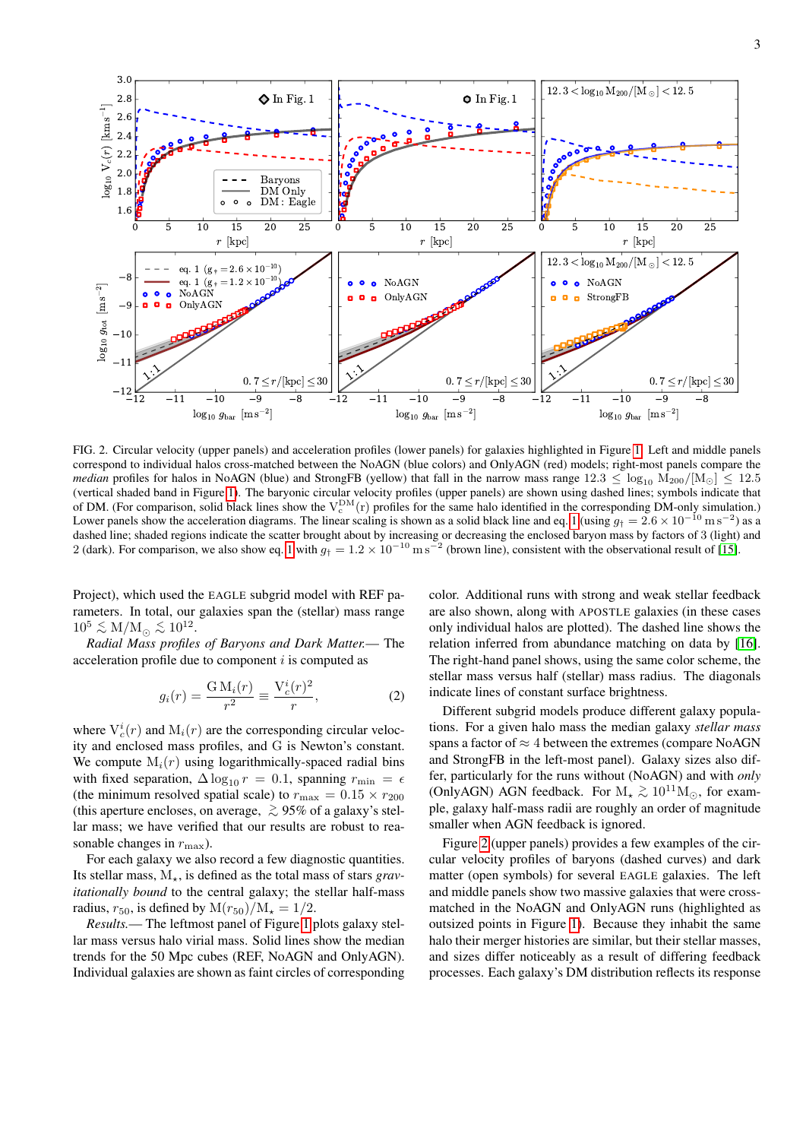

<span id="page-2-0"></span>FIG. 2. Circular velocity (upper panels) and acceleration profiles (lower panels) for galaxies highlighted in Figure [1.](#page-1-0) Left and middle panels correspond to individual halos cross-matched between the NoAGN (blue colors) and OnlyAGN (red) models; right-most panels compare the *median* profiles for halos in NoAGN (blue) and StrongFB (yellow) that fall in the narrow mass range  $12.3 \leq \log_{10} M_{200}/M_{\odot}$  \[ 12.5] (vertical shaded band in Figure [1\)](#page-1-0). The baryonic circular velocity profiles (upper panels) are shown using dashed lines; symbols indicate that of DM. (For comparison, solid black lines show the  $V_c^{DM}(r)$  profiles for the same halo identified in the corresponding DM-only simulation.) Lower panels show the acceleration diagrams. The linear scaling is shown as a solid black line and eq. [1](#page-0-0) (using  $g_{\dagger} = 2.6 \times 10^{-10} \,\mathrm{m\,s^{-2}}$ ) as a dashed line; shaded regions indicate the scatter brought about by increasing or decreasing the enclosed baryon mass by factors of 3 (light) and 2 (dark). For comparison, we also show eq. [1](#page-0-0) with  $g_{\dagger} = 1.2 \times 10^{-10}$  m s<sup>-2</sup> (brown line), consistent with the observational result of [\[15\]](#page-4-13).

Project), which used the EAGLE subgrid model with REF parameters. In total, our galaxies span the (stellar) mass range  $10^5 \lesssim M/M_{\odot} \lesssim 10^{12}$ .

*Radial Mass profiles of Baryons and Dark Matter.*— The acceleration profile due to component  $i$  is computed as

$$
g_i(r) = \frac{GM_i(r)}{r^2} \equiv \frac{V_c^i(r)^2}{r},\qquad(2)
$$

where  $V_c^i(r)$  and  $M_i(r)$  are the corresponding circular velocity and enclosed mass profiles, and G is Newton's constant. We compute  $M_i(r)$  using logarithmically-spaced radial bins with fixed separation,  $\Delta \log_{10} r = 0.1$ , spanning  $r_{\text{min}} = \epsilon$ (the minimum resolved spatial scale) to  $r_{\text{max}} = 0.15 \times r_{200}$ (this aperture encloses, on average,  $\geq 95\%$  of a galaxy's stellar mass; we have verified that our results are robust to reasonable changes in  $r_{\text{max}}$ ).

For each galaxy we also record a few diagnostic quantities. Its stellar mass,  $M_{\star}$ , is defined as the total mass of stars *gravitationally bound* to the central galaxy; the stellar half-mass radius,  $r_{50}$ , is defined by  $M(r_{50})/M_{\star} = 1/2$ .

*Results.*— The leftmost panel of Figure [1](#page-1-0) plots galaxy stellar mass versus halo virial mass. Solid lines show the median trends for the 50 Mpc cubes (REF, NoAGN and OnlyAGN). Individual galaxies are shown as faint circles of corresponding color. Additional runs with strong and weak stellar feedback are also shown, along with APOSTLE galaxies (in these cases only individual halos are plotted). The dashed line shows the relation inferred from abundance matching on data by [\[16\]](#page-4-19). The right-hand panel shows, using the same color scheme, the stellar mass versus half (stellar) mass radius. The diagonals indicate lines of constant surface brightness.

Different subgrid models produce different galaxy populations. For a given halo mass the median galaxy *stellar mass* spans a factor of  $\approx$  4 between the extremes (compare NoAGN and StrongFB in the left-most panel). Galaxy sizes also differ, particularly for the runs without (NoAGN) and with *only* (OnlyAGN) AGN feedback. For  $M_{\star} \gtrsim 10^{11} M_{\odot}$ , for example, galaxy half-mass radii are roughly an order of magnitude smaller when AGN feedback is ignored.

Figure [2](#page-2-0) (upper panels) provides a few examples of the circular velocity profiles of baryons (dashed curves) and dark matter (open symbols) for several EAGLE galaxies. The left and middle panels show two massive galaxies that were crossmatched in the NoAGN and OnlyAGN runs (highlighted as outsized points in Figure [1\)](#page-1-0). Because they inhabit the same halo their merger histories are similar, but their stellar masses, and sizes differ noticeably as a result of differing feedback processes. Each galaxy's DM distribution reflects its response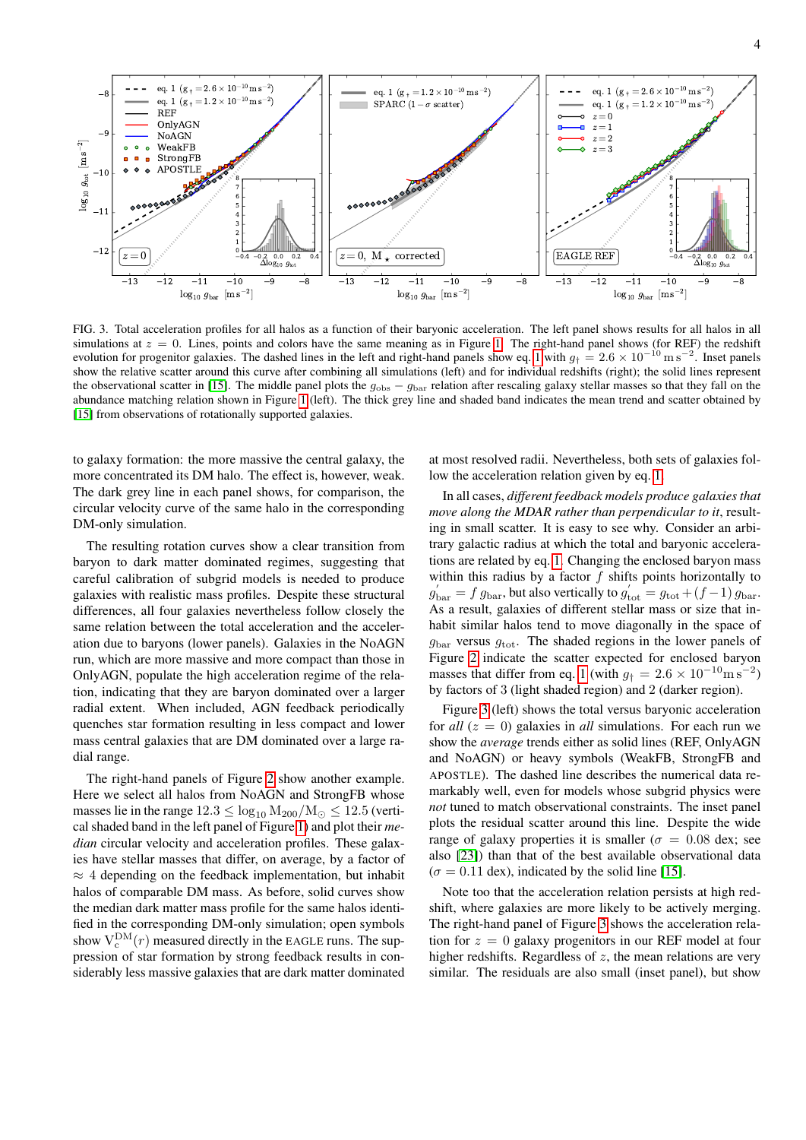

<span id="page-3-0"></span>FIG. 3. Total acceleration profiles for all halos as a function of their baryonic acceleration. The left panel shows results for all halos in all simulations at  $z = 0$ . Lines, points and colors have the same meaning as in Figure [1.](#page-1-0) The right-hand panel shows (for REF) the redshift evolution for progenitor galaxies. The dashed lines in the left and right-hand panels show eq. [1](#page-0-0) with  $g_{\dagger} = 2.6 \times 10^{-10} \text{ m s}^{-2}$ . Inset panels show the relative scatter around this curve after combining all simulations (left) and for individual redshifts (right); the solid lines represent the observational scatter in [\[15\]](#page-4-13). The middle panel plots the  $g_{\text{obs}} - g_{\text{bar}}$  relation after rescaling galaxy stellar masses so that they fall on the abundance matching relation shown in Figure [1](#page-1-0) (left). The thick grey line and shaded band indicates the mean trend and scatter obtained by [\[15\]](#page-4-13) from observations of rotationally supported galaxies.

to galaxy formation: the more massive the central galaxy, the more concentrated its DM halo. The effect is, however, weak. The dark grey line in each panel shows, for comparison, the circular velocity curve of the same halo in the corresponding DM-only simulation.

The resulting rotation curves show a clear transition from baryon to dark matter dominated regimes, suggesting that careful calibration of subgrid models is needed to produce galaxies with realistic mass profiles. Despite these structural differences, all four galaxies nevertheless follow closely the same relation between the total acceleration and the acceleration due to baryons (lower panels). Galaxies in the NoAGN run, which are more massive and more compact than those in OnlyAGN, populate the high acceleration regime of the relation, indicating that they are baryon dominated over a larger radial extent. When included, AGN feedback periodically quenches star formation resulting in less compact and lower mass central galaxies that are DM dominated over a large radial range.

The right-hand panels of Figure [2](#page-2-0) show another example. Here we select all halos from NoAGN and StrongFB whose masses lie in the range  $12.3 \leq \log_{10} M_{200} / M_{\odot} \leq 12.5$  (vertical shaded band in the left panel of Figure [1\)](#page-1-0) and plot their *median* circular velocity and acceleration profiles. These galaxies have stellar masses that differ, on average, by a factor of  $\approx$  4 depending on the feedback implementation, but inhabit halos of comparable DM mass. As before, solid curves show the median dark matter mass profile for the same halos identified in the corresponding DM-only simulation; open symbols show  $V_c^{DM}(r)$  measured directly in the EAGLE runs. The suppression of star formation by strong feedback results in considerably less massive galaxies that are dark matter dominated at most resolved radii. Nevertheless, both sets of galaxies follow the acceleration relation given by eq. [1.](#page-0-0)

In all cases, *different feedback models produce galaxies that move along the MDAR rather than perpendicular to it, result*ing in small scatter. It is easy to see why. Consider an arbitrary galactic radius at which the total and baryonic accelerations are related by eq. [1.](#page-0-0) Changing the enclosed baryon mass within this radius by a factor  $f$  shifts points horizontally to  $g'_{\text{bar}} = f g_{\text{bar}}$ , but also vertically to  $g'_{\text{tot}} = g_{\text{tot}} + (f - 1) g_{\text{bar}}$ . As a result, galaxies of different stellar mass or size that inhabit similar halos tend to move diagonally in the space of  $g_{\text{bar}}$  versus  $g_{\text{tot}}$ . The shaded regions in the lower panels of Figure [2](#page-2-0) indicate the scatter expected for enclosed baryon masses that differ from eq. [1](#page-0-0) (with  $g_{\dagger} = 2.6 \times 10^{-10} \text{m s}^{-2}$ ) by factors of 3 (light shaded region) and 2 (darker region).

Figure [3](#page-3-0) (left) shows the total versus baryonic acceleration for  $all (z = 0)$  galaxies in *all* simulations. For each run we show the *average* trends either as solid lines (REF, OnlyAGN and NoAGN) or heavy symbols (WeakFB, StrongFB and APOSTLE). The dashed line describes the numerical data remarkably well, even for models whose subgrid physics were *not* tuned to match observational constraints. The inset panel plots the residual scatter around this line. Despite the wide range of galaxy properties it is smaller ( $\sigma = 0.08$  dex; see also [\[23\]](#page-5-8)) than that of the best available observational data  $(\sigma = 0.11 \text{ dex})$ , indicated by the solid line [\[15\]](#page-4-13).

Note too that the acceleration relation persists at high redshift, where galaxies are more likely to be actively merging. The right-hand panel of Figure [3](#page-3-0) shows the acceleration relation for  $z = 0$  galaxy progenitors in our REF model at four higher redshifts. Regardless of  $z$ , the mean relations are very similar. The residuals are also small (inset panel), but show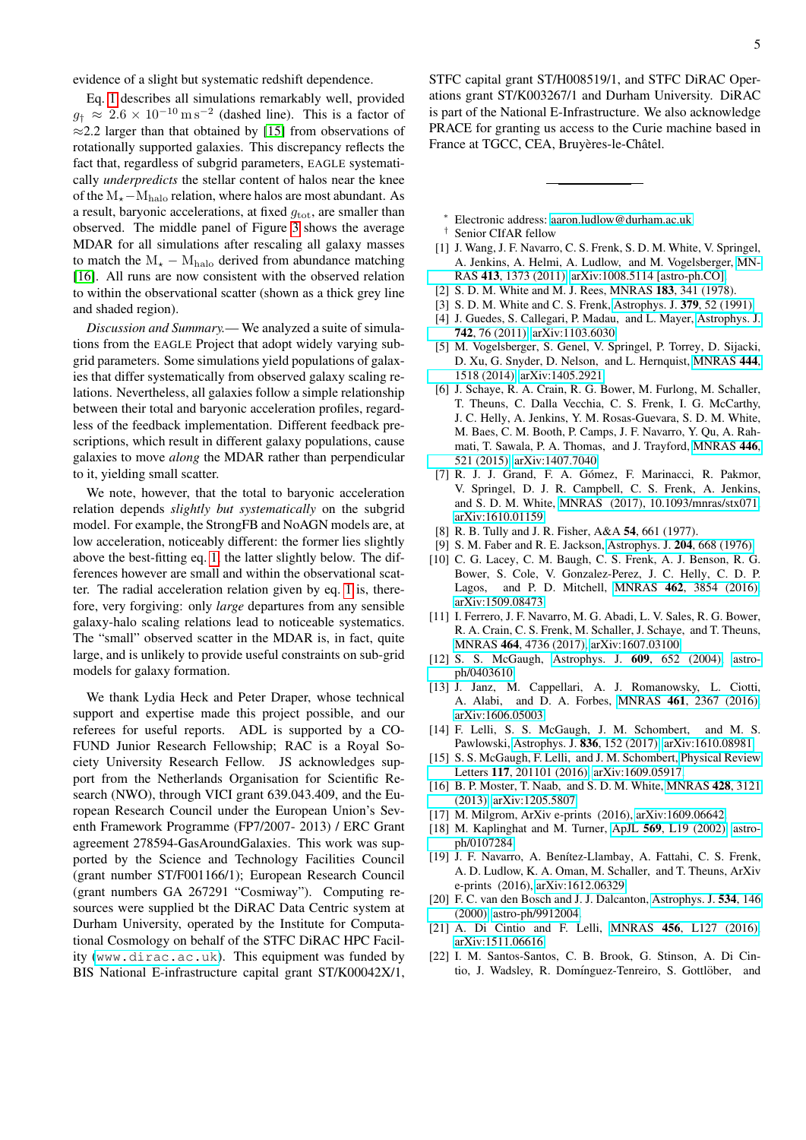evidence of a slight but systematic redshift dependence.

Eq. [1](#page-0-0) describes all simulations remarkably well, provided  $g_{\dagger} \approx 2.6 \times 10^{-10} \,\mathrm{m\,s^{-2}}$  (dashed line). This is a factor of  $\approx$ 2.2 larger than that obtained by [\[15\]](#page-4-13) from observations of rotationally supported galaxies. This discrepancy reflects the fact that, regardless of subgrid parameters, EAGLE systematically *underpredicts* the stellar content of halos near the knee of the M<sub>\*</sub>−M<sub>halo</sub> relation, where halos are most abundant. As a result, baryonic accelerations, at fixed  $g_{\text{tot}}$ , are smaller than observed. The middle panel of Figure [3](#page-3-0) shows the average MDAR for all simulations after rescaling all galaxy masses to match the  $M_{\star} - M_{halo}$  derived from abundance matching [\[16\]](#page-4-19). All runs are now consistent with the observed relation to within the observational scatter (shown as a thick grey line and shaded region).

*Discussion and Summary.*— We analyzed a suite of simulations from the EAGLE Project that adopt widely varying subgrid parameters. Some simulations yield populations of galaxies that differ systematically from observed galaxy scaling relations. Nevertheless, all galaxies follow a simple relationship between their total and baryonic acceleration profiles, regardless of the feedback implementation. Different feedback prescriptions, which result in different galaxy populations, cause galaxies to move *along* the MDAR rather than perpendicular to it, yielding small scatter.

We note, however, that the total to baryonic acceleration relation depends *slightly but systematically* on the subgrid model. For example, the StrongFB and NoAGN models are, at low acceleration, noticeably different: the former lies slightly above the best-fitting eq. [1,](#page-0-0) the latter slightly below. The differences however are small and within the observational scatter. The radial acceleration relation given by eq. [1](#page-0-0) is, therefore, very forgiving: only *large* departures from any sensible galaxy-halo scaling relations lead to noticeable systematics. The "small" observed scatter in the MDAR is, in fact, quite large, and is unlikely to provide useful constraints on sub-grid models for galaxy formation.

We thank Lydia Heck and Peter Draper, whose technical support and expertise made this project possible, and our referees for useful reports. ADL is supported by a CO-FUND Junior Research Fellowship; RAC is a Royal Society University Research Fellow. JS acknowledges support from the Netherlands Organisation for Scientific Research (NWO), through VICI grant 639.043.409, and the European Research Council under the European Union's Seventh Framework Programme (FP7/2007- 2013) / ERC Grant agreement 278594-GasAroundGalaxies. This work was supported by the Science and Technology Facilities Council (grant number ST/F001166/1); European Research Council (grant numbers GA 267291 "Cosmiway"). Computing resources were supplied bt the DiRAC Data Centric system at Durham University, operated by the Institute for Computational Cosmology on behalf of the STFC DiRAC HPC Facility (<www.dirac.ac.uk>). This equipment was funded by BIS National E-infrastructure capital grant ST/K00042X/1, STFC capital grant ST/H008519/1, and STFC DiRAC Operations grant ST/K003267/1 and Durham University. DiRAC is part of the National E-Infrastructure. We also acknowledge PRACE for granting us access to the Curie machine based in France at TGCC, CEA, Bruyères-le-Châtel.

- <span id="page-4-0"></span><sup>∗</sup> Electronic address: [aaron.ludlow@durham.ac.uk](mailto:aaron.ludlow@durham.ac.uk)
- <span id="page-4-1"></span>† Senior CIfAR fellow
- <span id="page-4-2"></span>[1] J. Wang, J. F. Navarro, C. S. Frenk, S. D. M. White, V. Springel, A. Jenkins, A. Helmi, A. Ludlow, and M. Vogelsberger, [MN-](http://dx.doi.org/ 10.1111/j.1365-2966.2011.18220.x)RAS 413[, 1373 \(2011\),](http://dx.doi.org/ 10.1111/j.1365-2966.2011.18220.x) [arXiv:1008.5114 \[astro-ph.CO\].](http://arxiv.org/abs/1008.5114)
- <span id="page-4-3"></span>[2] S. D. M. White and M. J. Rees, MNRAS 183, 341 (1978).
- <span id="page-4-4"></span>[3] S. D. M. White and C. S. Frenk, [Astrophys. J.](http://dx.doi.org/10.1086/170483) 379, 52 (1991).
- <span id="page-4-5"></span>[4] J. Guedes, S. Callegari, P. Madau, and L. Mayer, [Astrophys. J.](http://dx.doi.org/10.1088/0004-637X/742/2/76) 742[, 76 \(2011\),](http://dx.doi.org/10.1088/0004-637X/742/2/76) [arXiv:1103.6030.](http://arxiv.org/abs/1103.6030)
- [5] M. Vogelsberger, S. Genel, V. Springel, P. Torrey, D. Sijacki, D. Xu, G. Snyder, D. Nelson, and L. Hernquist, [MNRAS](http://dx.doi.org/10.1093/mnras/stu1536) 444, [1518 \(2014\),](http://dx.doi.org/10.1093/mnras/stu1536) [arXiv:1405.2921.](http://arxiv.org/abs/1405.2921)
- <span id="page-4-18"></span>[6] J. Schaye, R. A. Crain, R. G. Bower, M. Furlong, M. Schaller, T. Theuns, C. Dalla Vecchia, C. S. Frenk, I. G. McCarthy, J. C. Helly, A. Jenkins, Y. M. Rosas-Guevara, S. D. M. White, M. Baes, C. M. Booth, P. Camps, J. F. Navarro, Y. Qu, A. Rahmati, T. Sawala, P. A. Thomas, and J. Trayford, [MNRAS](http://dx.doi.org/ 10.1093/mnras/stu2058) 446, [521 \(2015\),](http://dx.doi.org/ 10.1093/mnras/stu2058) [arXiv:1407.7040.](http://arxiv.org/abs/1407.7040)
- <span id="page-4-6"></span>[7] R. J. J. Grand, F. A. Gómez, F. Marinacci, R. Pakmor, V. Springel, D. J. R. Campbell, C. S. Frenk, A. Jenkins, and S. D. M. White, [MNRAS \(2017\), 10.1093/mnras/stx071,](http://dx.doi.org/10.1093/mnras/stx071) [arXiv:1610.01159.](http://arxiv.org/abs/1610.01159)
- <span id="page-4-7"></span>[8] R. B. Tully and J. R. Fisher, A&A 54, 661 (1977).
- <span id="page-4-8"></span>[9] S. M. Faber and R. E. Jackson, [Astrophys. J.](http://dx.doi.org/10.1086/154215) 204, 668 (1976).
- <span id="page-4-9"></span>[10] C. G. Lacey, C. M. Baugh, C. S. Frenk, A. J. Benson, R. G. Bower, S. Cole, V. Gonzalez-Perez, J. C. Helly, C. D. P. Lagos, and P. D. Mitchell, MNRAS 462[, 3854 \(2016\),](http://dx.doi.org/10.1093/mnras/stw1888) [arXiv:1509.08473.](http://arxiv.org/abs/1509.08473)
- <span id="page-4-10"></span>[11] I. Ferrero, J. F. Navarro, M. G. Abadi, L. V. Sales, R. G. Bower, R. A. Crain, C. S. Frenk, M. Schaller, J. Schaye, and T. Theuns, MNRAS 464[, 4736 \(2017\),](http://dx.doi.org/10.1093/mnras/stw2691) [arXiv:1607.03100.](http://arxiv.org/abs/1607.03100)
- <span id="page-4-11"></span>[12] S. S. McGaugh, Astrophys. J. 609[, 652 \(2004\),](http://dx.doi.org/10.1086/421338) [astro](http://arxiv.org/abs/astro-ph/0403610)[ph/0403610.](http://arxiv.org/abs/astro-ph/0403610)
- [13] J. Janz, M. Cappellari, A. J. Romanowsky, L. Ciotti, A. Alabi, and D. A. Forbes, MNRAS 461[, 2367 \(2016\),](http://dx.doi.org/10.1093/mnras/stw1472) [arXiv:1606.05003.](http://arxiv.org/abs/1606.05003)
- <span id="page-4-12"></span>[14] F. Lelli, S. S. McGaugh, J. M. Schombert, and M. S. Pawlowski, [Astrophys. J.](http://dx.doi.org/10.3847/1538-4357/836/2/152) 836, 152 (2017), [arXiv:1610.08981.](http://arxiv.org/abs/1610.08981)
- <span id="page-4-13"></span>[15] S. S. McGaugh, F. Lelli, and J. M. Schombert, [Physical Review](http://dx.doi.org/10.1103/PhysRevLett.117.201101) Letters 117[, 201101 \(2016\),](http://dx.doi.org/10.1103/PhysRevLett.117.201101) [arXiv:1609.05917.](http://arxiv.org/abs/1609.05917)
- <span id="page-4-19"></span>[16] B. P. Moster, T. Naab, and S. D. M. White, [MNRAS](http://dx.doi.org/10.1093/mnras/sts261) 428, 3121 [\(2013\),](http://dx.doi.org/10.1093/mnras/sts261) [arXiv:1205.5807.](http://arxiv.org/abs/1205.5807)
- <span id="page-4-14"></span>[17] M. Milgrom, ArXiv e-prints (2016), [arXiv:1609.06642.](http://arxiv.org/abs/1609.06642)
- <span id="page-4-15"></span>[18] M. Kaplinghat and M. Turner, ApJL 569[, L19 \(2002\),](http://dx.doi.org/10.1086/340578) [astro](http://arxiv.org/abs/astro-ph/0107284)[ph/0107284.](http://arxiv.org/abs/astro-ph/0107284)
- <span id="page-4-16"></span>[19] J. F. Navarro, A. Benítez-Llambay, A. Fattahi, C. S. Frenk, A. D. Ludlow, K. A. Oman, M. Schaller, and T. Theuns, ArXiv e-prints (2016), [arXiv:1612.06329.](http://arxiv.org/abs/1612.06329)
- <span id="page-4-17"></span>[20] F. C. van den Bosch and J. J. Dalcanton, [Astrophys. J.](http://dx.doi.org/10.1086/308750) 534, 146 [\(2000\),](http://dx.doi.org/10.1086/308750) [astro-ph/9912004.](http://arxiv.org/abs/astro-ph/9912004)
- [21] A. Di Cintio and F. Lelli, MNRAS 456[, L127 \(2016\),](http://dx.doi.org/10.1093/mnrasl/slv185) [arXiv:1511.06616.](http://arxiv.org/abs/1511.06616)
- [22] I. M. Santos-Santos, C. B. Brook, G. Stinson, A. Di Cintio, J. Wadsley, R. Domínguez-Tenreiro, S. Gottlöber, and